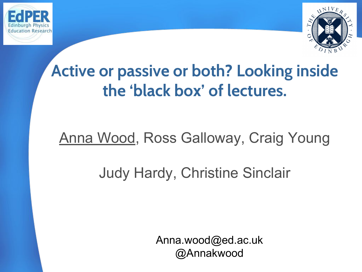



## **Active or passive or both? Looking inside the 'black box' of lectures.**

### Anna Wood, Ross Galloway, Craig Young

### Judy Hardy, Christine Sinclair

Anna.wood@ed.ac.uk @Annakwood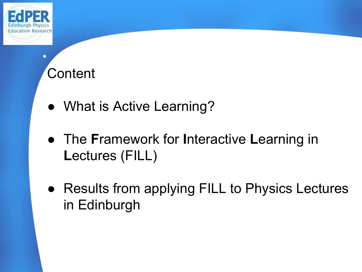

 $\bullet$ 

## **Content**

- What is Active Learning?
- The **F**ramework for **I**nteractive **L**earning in **L**ectures (FILL)
- Results from applying FILL to Physics Lectures in Edinburgh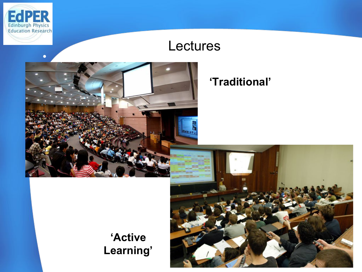

●

### Lectures



#### **'Traditional'**

**'Active Learning'**

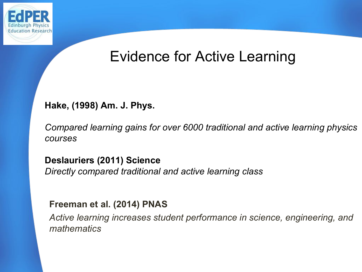

### Evidence for Active Learning

#### **Hake, (1998) Am. J. Phys.**

*Compared learning gains for over 6000 traditional and active learning physics courses*

**Deslauriers (2011) Science** *Directly compared traditional and active learning class*

#### **Freeman et al. (2014) PNAS**

*Active learning increases student performance in science, engineering, and mathematics*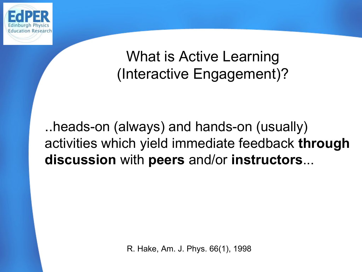

### What is Active Learning (Interactive Engagement)?

..heads-on (always) and hands-on (usually) activities which yield immediate feedback **through discussion** with **peers** and/or **instructors**...

R. Hake, Am. J. Phys. 66(1), 1998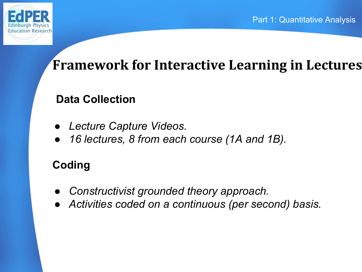

### **Framework for Interactive Learning in Lectures**

#### **Data Collection**

- *● Lecture Capture Videos.*
- *● 16 lectures, 8 from each course (1A and 1B).*

### **Coding**

- *● Constructivist grounded theory approach.*
- *● Activities coded on a continuous (per second) basis.*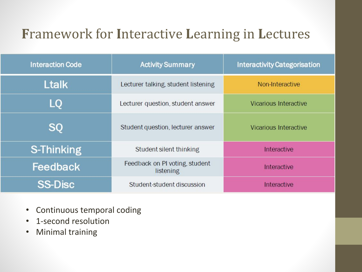### **F**ramework for **I**nteractive **L**earning in **L**ectures

| <b>Interaction Code</b> | <b>Activity Summary</b>                     | <b>Interactivity Categorisation</b> |
|-------------------------|---------------------------------------------|-------------------------------------|
| <b>Ltalk</b>            | Lecturer talking, student listening         | Non-Interactive                     |
| LO                      | Lecturer question, student answer           | Vicarious Interactive               |
| <b>SQ</b>               | Student question, lecturer answer           | Vicarious Interactive               |
| <b>S-Thinking</b>       | Student silent thinking                     | Interactive                         |
| Feedback                | Feedback on PI voting, student<br>listening | Interactive                         |
| <b>SS-Disc</b>          | Student-student discussion                  | Interactive                         |

- Continuous temporal coding
- 1-second resolution
- Minimal training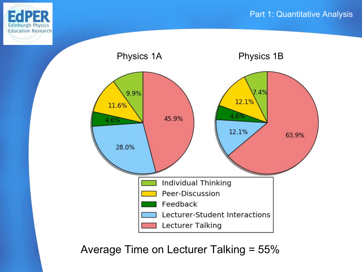



Average Time on Lecturer Talking = 55%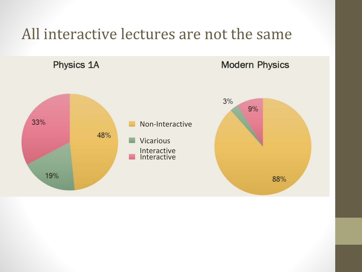### All interactive lectures are not the same

Physics 1A

#### **Modern Physics**

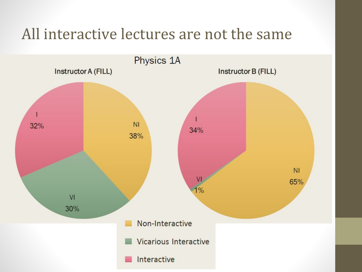### All interactive lectures are not the same

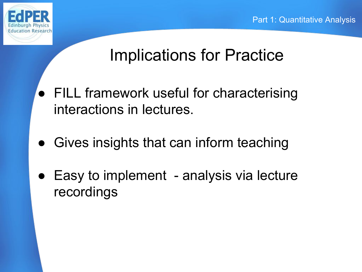

●

## Implications for Practice

- FILL framework useful for characterising interactions in lectures.
- Gives insights that can inform teaching
- Easy to implement analysis via lecture recordings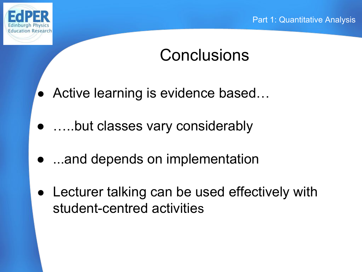

## **Conclusions**

- Active learning is evidence based...
- …..but classes vary considerably
- …and depends on implementation
- Lecturer talking can be used effectively with student-centred activities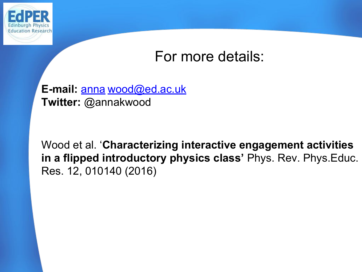

### For more details:

#### E-mail: [anna](mailto:annakwood@physics.org) wood@ed.ac.uk **Twitter:** @annakwood

Wood et al. '**Characterizing interactive engagement activities in a flipped introductory physics class'** Phys. Rev. Phys.Educ. Res. 12, 010140 (2016)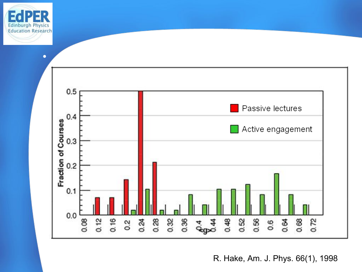



R. Hake, Am. J. Phys. 66(1), 1998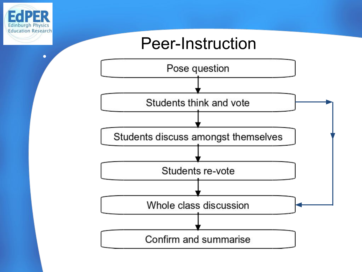

 $\bullet$ 

### Peer-Instruction